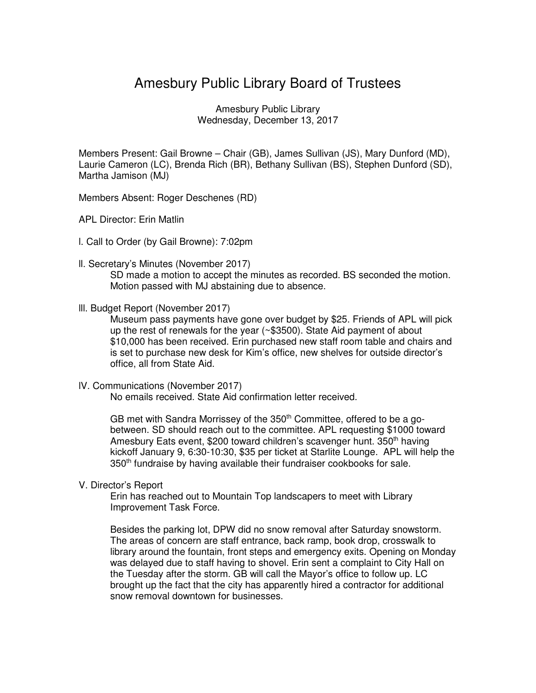## Amesbury Public Library Board of Trustees

Amesbury Public Library Wednesday, December 13, 2017

Members Present: Gail Browne – Chair (GB), James Sullivan (JS), Mary Dunford (MD), Laurie Cameron (LC), Brenda Rich (BR), Bethany Sullivan (BS), Stephen Dunford (SD), Martha Jamison (MJ)

Members Absent: Roger Deschenes (RD)

APL Director: Erin Matlin

- l. Call to Order (by Gail Browne): 7:02pm
- ll. Secretary's Minutes (November 2017)

SD made a motion to accept the minutes as recorded. BS seconded the motion. Motion passed with MJ abstaining due to absence.

lll. Budget Report (November 2017)

Museum pass payments have gone over budget by \$25. Friends of APL will pick up the rest of renewals for the year (~\$3500). State Aid payment of about \$10,000 has been received. Erin purchased new staff room table and chairs and is set to purchase new desk for Kim's office, new shelves for outside director's office, all from State Aid.

lV. Communications (November 2017)

No emails received. State Aid confirmation letter received.

GB met with Sandra Morrissey of the 350<sup>th</sup> Committee, offered to be a gobetween. SD should reach out to the committee. APL requesting \$1000 toward Amesbury Eats event, \$200 toward children's scavenger hunt. 350<sup>th</sup> having kickoff January 9, 6:30-10:30, \$35 per ticket at Starlite Lounge. APL will help the 350<sup>th</sup> fundraise by having available their fundraiser cookbooks for sale.

V. Director's Report

Erin has reached out to Mountain Top landscapers to meet with Library Improvement Task Force.

Besides the parking lot, DPW did no snow removal after Saturday snowstorm. The areas of concern are staff entrance, back ramp, book drop, crosswalk to library around the fountain, front steps and emergency exits. Opening on Monday was delayed due to staff having to shovel. Erin sent a complaint to City Hall on the Tuesday after the storm. GB will call the Mayor's office to follow up. LC brought up the fact that the city has apparently hired a contractor for additional snow removal downtown for businesses.